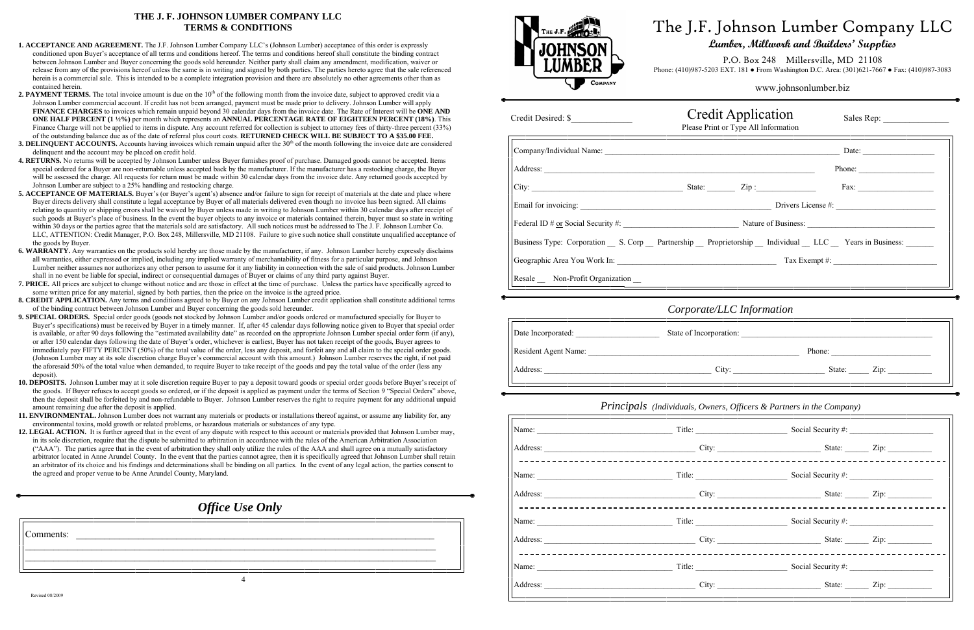# *Office Use Only*

| Comments: |  |  |  |  |
|-----------|--|--|--|--|
|           |  |  |  |  |
|           |  |  |  |  |

# **THE J. F. JOHNSON LUMBER COMPANY LLC TERMS & CONDITIONS**

# F. Johnson Lumber Company LLC **Lumber, Millwork and Builders' Supplies**

P.O. Box 248 Millersville, MD 21108 Phone: (410)987-3083 EXT. 181 • From Washington D.C. Area: (301)621-7667 • Fax: (410)987-3083

- **1. ACCEPTANCE AND AGREEMENT.** The J.F. Johnson Lumber Company LLC's (Johnson Lumber) acceptance of this order is expressly conditioned upon Buyer's acceptance of all terms and conditions hereof. The terms and conditions hereof shall constitute the binding contract between Johnson Lumber and Buyer concerning the goods sold hereunder. Neither party shall claim any amendment, modification, waiver or release from any of the provisions hereof unless the same is in writing and signed by both parties. The parties hereto agree that the sale referenced herein is a commercial sale. This is intended to be a complete integration provision and there are absolutely no other agreements other than as contained herein.
- **2. PAYMENT TERMS.** The total invoice amount is due on the 10<sup>th</sup> of the following month from the invoice date, subject to approved credit via a Johnson Lumber commercial account. If credit has not been arranged, payment must be made prior to delivery. Johnson Lumber will apply **FINANCE CHARGES** to invoices which remain unpaid beyond 30 calendar days from the invoice date. The Rate of Interest will be **ONE AND ONE HALF PERCENT (1 ½%)** per month which represents an **ANNUAL PERCENTAGE RATE OF EIGHTEEN PERCENT (18%)**. This Finance Charge will not be applied to items in dispute. Any account referred for collection is subject to attorney fees of thirty-three percent (33%) of the outstanding balance due as of the date of referral plus court costs. **RETURNED CHECK WILL BE SUBJECT TO A \$35.00 FEE.**
- **3. DELINQUENT ACCOUNTS.** Accounts having invoices which remain unpaid after the 30<sup>th</sup> of the month following the invoice date are considered delinquent and the account may be placed on credit hold.
- **4. RETURNS.** No returns will be accepted by Johnson Lumber unless Buyer furnishes proof of purchase. Damaged goods cannot be accepted. Items special ordered for a Buyer are non-returnable unless accepted back by the manufacturer. If the manufacturer has a restocking charge, the Buyer will be assessed the charge. All requests for return must be made within 30 calendar days from the invoice date. Any returned goods accepted by Johnson Lumber are subject to a 25% handling and restocking charge.
- **5. ACCEPTANCE OF MATERIALS.** Buyer's (or Buyer's agent's) absence and/or failure to sign for receipt of materials at the date and place where Buyer directs delivery shall constitute a legal acceptance by Buyer of all materials delivered even though no invoice has been signed. All claims relating to quantity or shipping errors shall be waived by Buyer unless made in writing to Johnson Lumber within 30 calendar days after receipt of such goods at Buyer's place of business. In the event the buyer objects to any invoice or materials contained therein, buyer must so state in writing within 30 days or the parties agree that the materials sold are satisfactory. All such notices must be addressed to The J. F. Johnson Lumber Co. LLC, ATTENTION: Credit Manager, P.O. Box 248, Millersville, MD 21108. Failure to give such notice shall constitute unqualified acceptance of the goods by Buyer.
- **6. WARRANTY.** Any warranties on the products sold hereby are those made by the manufacturer, if any. Johnson Lumber hereby expressly disclaims all warranties, either expressed or implied, including any implied warranty of merchantability of fitness for a particular purpose, and Johnson Lumber neither assumes nor authorizes any other person to assume for it any liability in connection with the sale of said products. Johnson Lumber shall in no event be liable for special, indirect or consequential damages of Buyer or claims of any third party against Buyer.
- **7. PRICE.** All prices are subject to change without notice and are those in effect at the time of purchase. Unless the parties have specifically agreed to some written price for any material, signed by both parties, then the price on the invoice is the agreed price.
- **8. CREDIT APPLICATION.** Any terms and conditions agreed to by Buyer on any Johnson Lumber credit application shall constitute additional terms of the binding contract between Johnson Lumber and Buyer concerning the goods sold hereunder.
- **9. SPECIAL ORDERS.** Special order goods (goods not stocked by Johnson Lumber and/or goods ordered or manufactured specially for Buyer to Buyer's specifications) must be received by Buyer in a timely manner. If, after 45 calendar days following notice given to Buyer that special order is available, or after 90 days following the "estimated availability date" as recorded on the appropriate Johnson Lumber special order form (if any), or after 150 calendar days following the date of Buyer's order, whichever is earliest, Buyer has not taken receipt of the goods, Buyer agrees to immediately pay FIFTY PERCENT (50%) of the total value of the order, less any deposit, and forfeit any and all claim to the special order goods. (Johnson Lumber may at its sole discretion charge Buyer's commercial account with this amount.) Johnson Lumber reserves the right, if not paid the aforesaid 50% of the total value when demanded, to require Buyer to take receipt of the goods and pay the total value of the order (less any deposit).
- **10. DEPOSITS.** Johnson Lumber may at it sole discretion require Buyer to pay a deposit toward goods or special order goods before Buyer's receipt of the goods. If Buyer refuses to accept goods so ordered, or if the deposit is applied as payment under the terms of Section 9 "Special Orders" above, then the deposit shall be forfeited by and non-refundable to Buyer. Johnson Lumber reserves the right to require payment for any additional unpaid amount remaining due after the deposit is applied.
- **11. ENVIRONMENTAL.** Johnson Lumber does not warrant any materials or products or installations thereof against, or assume any liability for, any environmental toxins, mold growth or related problems, or hazardous materials or substances of any type.
- 12. LEGAL ACTION. It is further agreed that in the event of any dispute with respect to this account or materials provided that Johnson Lumber may, in its sole discretion, require that the dispute be submitted to arbitration in accordance with the rules of the American Arbitration Association ("AAA"). The parties agree that in the event of arbitration they shall only utilize the rules of the AAA and shall agree on a mutually satisfactory arbitrator located in Anne Arundel County. In the event that the parties cannot agree, then it is specifically agreed that Johnson Lumber shall retain an arbitrator of its choice and his findings and determinations shall be binding on all parties. In the event of any legal action, the parties consent to the agreed and proper venue to be Anne Arundel County, Maryland.

| www.johnsonlumber.biz |  |
|-----------------------|--|
|                       |  |

| THE J.F.<br><b>JOHNSON</b><br><b>COMPANY</b>           | The J.<br>Phone: (410)987 |
|--------------------------------------------------------|---------------------------|
|                                                        | Please                    |
|                                                        |                           |
|                                                        |                           |
|                                                        |                           |
|                                                        |                           |
|                                                        |                           |
| Business Type: Corporation __ S. Corp __ Partnership _ |                           |
|                                                        |                           |
|                                                        |                           |
|                                                        | Corpor                    |
|                                                        | Stote of In               |

| Credit Desired: \$                                                                                                                                                                                                             | <b>Credit Application</b><br>Please Print or Type All Information |                                                                             | Sales Rep: |
|--------------------------------------------------------------------------------------------------------------------------------------------------------------------------------------------------------------------------------|-------------------------------------------------------------------|-----------------------------------------------------------------------------|------------|
|                                                                                                                                                                                                                                |                                                                   |                                                                             |            |
|                                                                                                                                                                                                                                |                                                                   |                                                                             | Phone:     |
|                                                                                                                                                                                                                                |                                                                   |                                                                             |            |
|                                                                                                                                                                                                                                |                                                                   |                                                                             |            |
|                                                                                                                                                                                                                                |                                                                   |                                                                             |            |
| Business Type: Corporation __ S. Corp __ Partnership __ Proprietorship __ Individual __ LLC __ Years in Business: ______                                                                                                       |                                                                   |                                                                             |            |
|                                                                                                                                                                                                                                |                                                                   |                                                                             |            |
|                                                                                                                                                                                                                                |                                                                   |                                                                             |            |
|                                                                                                                                                                                                                                | Corporate/LLC Information                                         |                                                                             |            |
|                                                                                                                                                                                                                                |                                                                   |                                                                             |            |
|                                                                                                                                                                                                                                |                                                                   |                                                                             |            |
| Address: Zip: Zip: Zip: Xideon 2.1 City: City: 2.1 State: Zip: 2.1 State: Zip: 2.1 State: Zip: 2.1 State: 2.1 State: 2.1 State: 2.1 State: 2.1 State: 2.1 State: 2.1 State: 2.1 State: 2.1 State: 2.1 State: 2.1 State: 2.1 St |                                                                   |                                                                             |            |
|                                                                                                                                                                                                                                |                                                                   | <b>Principals</b> (Individuals, Owners, Officers & Partners in the Company) |            |
|                                                                                                                                                                                                                                |                                                                   |                                                                             |            |
| Address: <u>City:</u> City: City: State: Zip: Zip:                                                                                                                                                                             |                                                                   |                                                                             |            |
|                                                                                                                                                                                                                                |                                                                   |                                                                             |            |
| Address: <u>City:</u> City: City: State: Zip: Zip:                                                                                                                                                                             |                                                                   |                                                                             |            |
|                                                                                                                                                                                                                                |                                                                   |                                                                             |            |
| Address: <u>City:</u> City: City: State: Zip: Zip:                                                                                                                                                                             |                                                                   |                                                                             |            |
|                                                                                                                                                                                                                                |                                                                   |                                                                             |            |
| Address: Zip: Zip: City: City: State: Zip: Zip:                                                                                                                                                                                |                                                                   |                                                                             |            |

| Credit Desired: \$                                                                                                       | <b>Credit Application</b><br>Please Print or Type All Information |                                                                                  |        |
|--------------------------------------------------------------------------------------------------------------------------|-------------------------------------------------------------------|----------------------------------------------------------------------------------|--------|
|                                                                                                                          |                                                                   |                                                                                  |        |
|                                                                                                                          |                                                                   |                                                                                  | Phone: |
|                                                                                                                          |                                                                   |                                                                                  |        |
|                                                                                                                          |                                                                   |                                                                                  |        |
|                                                                                                                          |                                                                   |                                                                                  |        |
| Business Type: Corporation __ S. Corp __ Partnership __ Proprietorship __ Individual __ LLC __ Years in Business: ______ |                                                                   |                                                                                  |        |
|                                                                                                                          |                                                                   |                                                                                  |        |
| Resale _ Non-Profit Organization _                                                                                       |                                                                   | ,我们也不能在这里的时候,我们也不能会在这里,我们也不能会在这里的时候,我们也不能会在这里的时候,我们也不能会在这里的时候,我们也不能会在这里的时候,我们也不能 |        |
|                                                                                                                          | Corporate/LLC Information                                         |                                                                                  |        |
|                                                                                                                          |                                                                   |                                                                                  |        |
|                                                                                                                          |                                                                   |                                                                                  |        |
|                                                                                                                          |                                                                   |                                                                                  |        |
|                                                                                                                          |                                                                   | <b>Principals</b> (Individuals, Owners, Officers & Partners in the Company)      |        |
|                                                                                                                          |                                                                   |                                                                                  |        |
| Address: <u>City:</u> City: City: State: Zip: Zip:                                                                       |                                                                   |                                                                                  |        |
| -----------------------------------                                                                                      |                                                                   |                                                                                  |        |
| Address: <u>City:</u> City: City: State: Zip: Zip:                                                                       |                                                                   |                                                                                  |        |
|                                                                                                                          |                                                                   |                                                                                  |        |
| Address: <u>City:</u> City: City: State: Zip: Zip:                                                                       |                                                                   |                                                                                  |        |
|                                                                                                                          |                                                                   |                                                                                  |        |
| Address: <u>City:</u> City: City: State: Zip: Zip:                                                                       |                                                                   |                                                                                  |        |